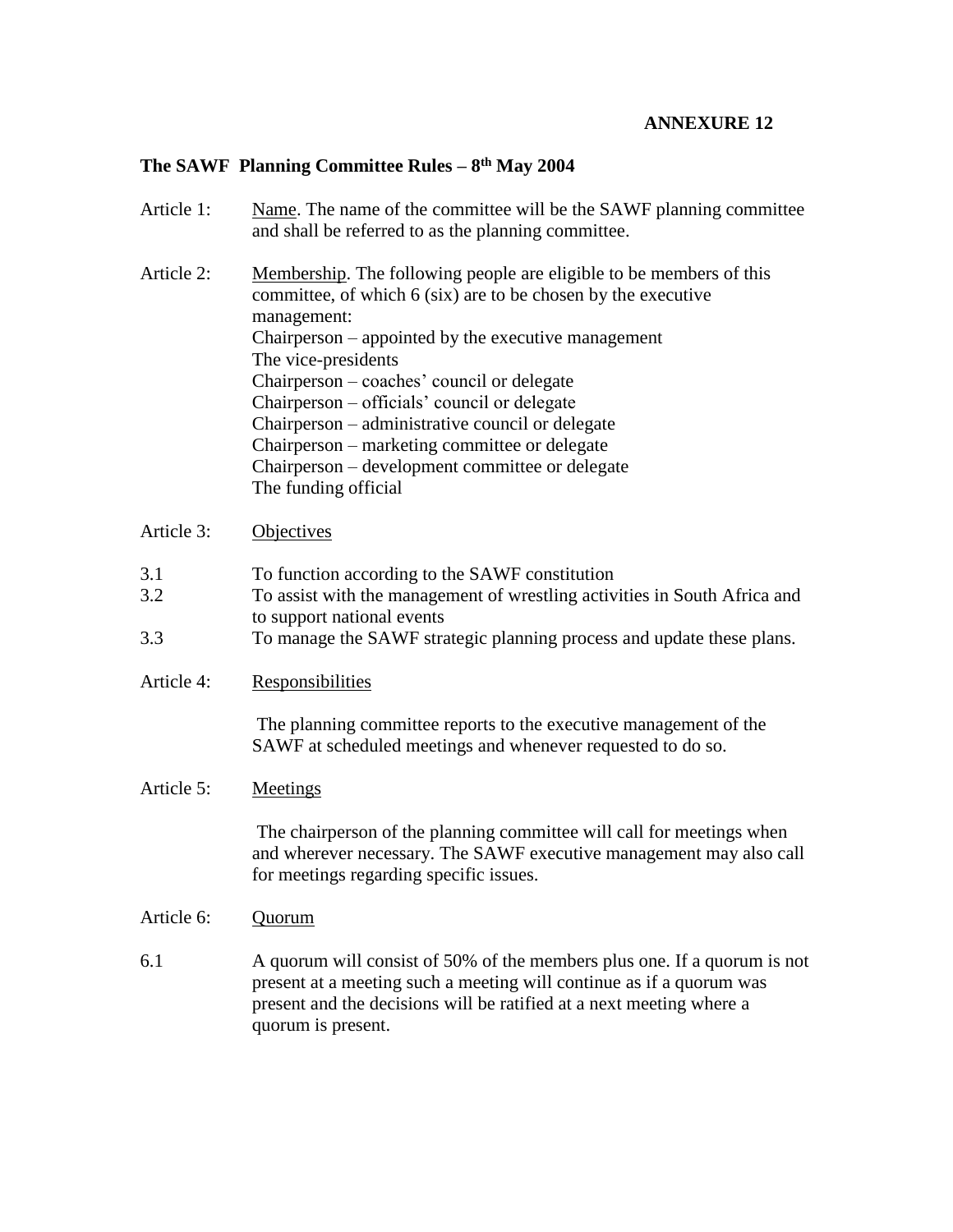# **ANNEXURE 12**

## **The SAWF Planning Committee Rules – 8 th May 2004**

- Article 1: Name. The name of the committee will be the SAWF planning committee and shall be referred to as the planning committee.
- Article 2: Membership. The following people are eligible to be members of this committee, of which 6 (six) are to be chosen by the executive management: Chairperson – appointed by the executive management The vice-presidents Chairperson – coaches' council or delegate Chairperson – officials' council or delegate Chairperson – administrative council or delegate Chairperson – marketing committee or delegate Chairperson – development committee or delegate The funding official

Article 3: Objectives

- 3.1 To function according to the SAWF constitution
- 3.2 To assist with the management of wrestling activities in South Africa and to support national events
- 3.3 To manage the SAWF strategic planning process and update these plans.
- Article 4: Responsibilities

The planning committee reports to the executive management of the SAWF at scheduled meetings and whenever requested to do so.

### Article 5: Meetings

The chairperson of the planning committee will call for meetings when and wherever necessary. The SAWF executive management may also call for meetings regarding specific issues.

#### Article 6: Quorum

6.1 A quorum will consist of 50% of the members plus one. If a quorum is not present at a meeting such a meeting will continue as if a quorum was present and the decisions will be ratified at a next meeting where a quorum is present.